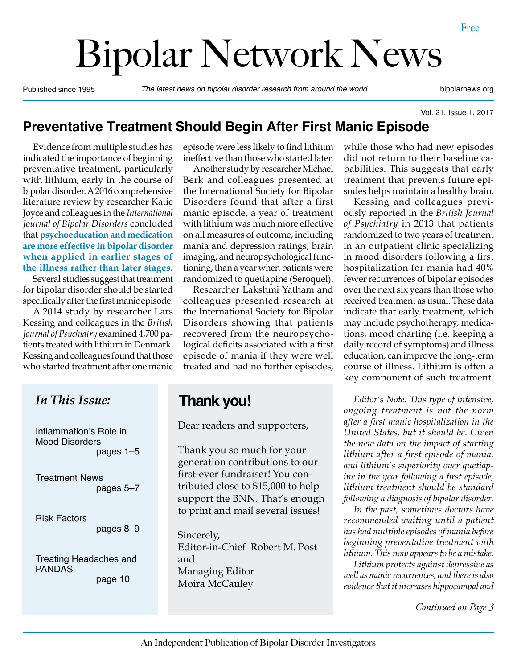# Bipolar Network News

Published since 1995 *The latest news on bipolar disorder research from around the world* bipolarnews.org

Vol. 21, Issue 1, 2017

#### **Preventative Treatment Should Begin After First Manic Episode**

Evidence from multiple studies has indicated the importance of beginning preventative treatment, particularly with lithium, early in the course of bipolar disorder. A 2016 comprehensive literature review by researcher Katie Joyce and colleagues in the *International Journal of Bipolar Disorders* concluded that **psychoeducation and medication are more effective in bipolar disorder when applied in earlier stages of the illness rather than later stages.** 

Several studies suggest that treatment for bipolar disorder should be started specifically after the first manic episode.

A 2014 study by researcher Lars Kessing and colleagues in the *British Journal of Psychiatry* examined 4,700 patients treated with lithium in Denmark. Kessing and colleagues found that those who started treatment after one manic episode were less likely to find lithium ineffective than those who started later.

Another study by researcher Michael Berk and colleagues presented at the International Society for Bipolar Disorders found that after a first manic episode, a year of treatment with lithium was much more effective on all measures of outcome, including mania and depression ratings, brain imaging, and neuropsychological functioning, than a year when patients were randomized to quetiapine (Seroquel).

Researcher Lakshmi Yatham and colleagues presented research at the International Society for Bipolar Disorders showing that patients recovered from the neuropsychological deficits associated with a first episode of mania if they were well treated and had no further episodes,

### **Thank you!**

Dear readers and supporters,

Thank you so much for your generation contributions to our first-ever fundraiser! You contributed close to \$15,000 to help support the BNN. That's enough to print and mail several issues!

Sincerely, Editor-in-Chief Robert M. Post and Managing Editor Moira McCauley

while those who had new episodes did not return to their baseline capabilities. This suggests that early treatment that prevents future episodes helps maintain a healthy brain.

Kessing and colleagues previously reported in the *British Journal of Psychiatry* in 2013 that patients randomized to two years of treatment in an outpatient clinic specializing in mood disorders following a first hospitalization for mania had 40% fewer recurrences of bipolar episodes over the next six years than those who received treatment as usual. These data indicate that early treatment, which may include psychotherapy, medications, mood charting (i.e. keeping a daily record of symptoms) and illness education, can improve the long-term course of illness. Lithium is often a key component of such treatment.

*Editor's Note: This type of intensive, ongoing treatment is not the norm after a first manic hospitalization in the United States, but it should be. Given the new data on the impact of starting lithium after a first episode of mania, and lithium's superiority over quetiapine in the year following a first episode, lithium treatment should be standard following a diagnosis of bipolar disorder.* 

*In the past, sometimes doctors have recommended waiting until a patient has had multiple episodes of mania before beginning preventative treatment with lithium. This now appears to be a mistake.* 

*Lithium protects against depressive as well as manic recurrences, and there is also evidence that it increases hippocampal and* 

*Continued on Page 3*

#### *In This Issue:*

Inflammation's Role in Mood Disorders pages 1–5

 Treatment News pages 5–7

Risk Factors pages 8–9

Treating Headaches and PANDAS page 10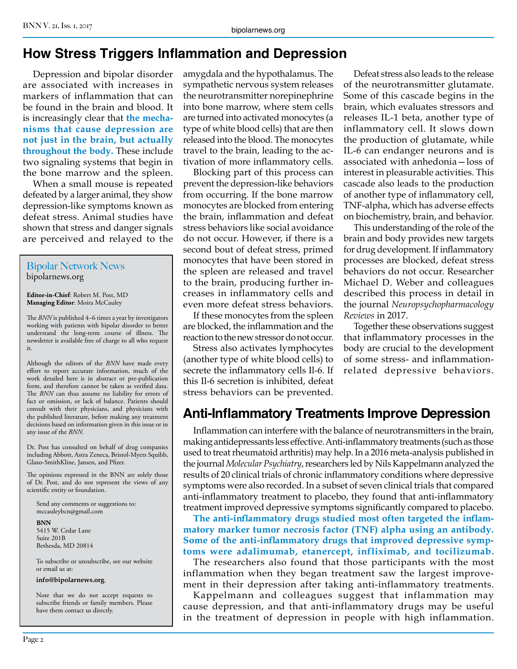# **How Stress Triggers Inflammation and Depression**

Depression and bipolar disorder are associated with increases in markers of inflammation that can be found in the brain and blood. It is increasingly clear that **the mechanisms that cause depression are not just in the brain, but actually throughout the body.** These include two signaling systems that begin in the bone marrow and the spleen.

When a small mouse is repeated defeated by a larger animal, they show depression-like symptoms known as defeat stress. Animal studies have shown that stress and danger signals are perceived and relayed to the

#### Bipolar Network News bipolarnews.org

**Editor-in-Chief**: Robert M. Post, MD **Managing Editor**: Moira McCauley

The *BNN* is published 4–6 times a year by investigators working with patients with bipolar disorder to better understand the long-term course of illness. The newsletter is available free of charge to all who request it.

Although the editors of the *BNN* have made every effort to report accurate information, much of the work detailed here is in abstract or pre-publication form, and therefore cannot be taken as verified data. The *BNN* can thus assume no liability for errors of fact or omission, or lack of balance. Patients should consult with their physicians, and physicians with the published literature, before making any treatment decisions based on information given in this issue or in any issue of the *BNN*.

Dr. Post has consulted on behalf of drug companies including Abbott, Astra Zeneca, Bristol-Myers Squibb, Glaxo-SmithKline, Jansen, and Pfizer.

The opinions expressed in the BNN are solely those of Dr. Post, and do not represent the views of any scientific entity or foundation.

Send any comments or suggestions to: mccauleybcn@gmail.com

#### **BNN**

5415 W. Cedar Lane Suite 201B Bethesda, MD 20814

To subscribe or unsubscribe, see our website or email us at:

**info@bipolarnews.org**.

Note that we do not accept requests to subscribe friends or family members. Please have them contact us directly.

amygdala and the hypothalamus. The sympathetic nervous system releases the neurotransmitter norepinephrine into bone marrow, where stem cells are turned into activated monocytes (a type of white blood cells) that are then released into the blood. The monocytes travel to the brain, leading to the activation of more inflammatory cells.

Blocking part of this process can prevent the depression-like behaviors from occurring. If the bone marrow monocytes are blocked from entering the brain, inflammation and defeat stress behaviors like social avoidance do not occur. However, if there is a second bout of defeat stress, primed monocytes that have been stored in the spleen are released and travel to the brain, producing further increases in inflammatory cells and even more defeat stress behaviors.

If these monocytes from the spleen are blocked, the inflammation and the reaction to the new stressor do not occur.

Stress also activates lymphocytes (another type of white blood cells) to secrete the inflammatory cells Il-6. If this Il-6 secretion is inhibited, defeat stress behaviors can be prevented.

Defeat stress also leads to the release of the neurotransmitter glutamate. Some of this cascade begins in the brain, which evaluates stressors and releases IL-1 beta, another type of inflammatory cell. It slows down the production of glutamate, while IL-6 can endanger neurons and is associated with anhedonia—loss of interest in pleasurable activities. This cascade also leads to the production of another type of inflammatory cell, TNF-alpha, which has adverse effects on biochemistry, brain, and behavior.

This understanding of the role of the brain and body provides new targets for drug development. If inflammatory processes are blocked, defeat stress behaviors do not occur. Researcher Michael D. Weber and colleagues described this process in detail in the journal *Neuropsychopharmacology Reviews* in 2017.

Together these observations suggest that inflammatory processes in the body are crucial to the development of some stress- and inflammationrelated depressive behaviors.

# **Anti-Inflammatory Treatments Improve Depression**

Inflammation can interfere with the balance of neurotransmitters in the brain, making antidepressants less effective. Anti-inflammatory treatments (such as those used to treat rheumatoid arthritis) may help. In a 2016 meta-analysis published in the journal *Molecular Psychiatry*, researchers led by Nils Kappelmann analyzed the results of 20 clinical trials of chronic inflammatory conditions where depressive symptoms were also recorded. In a subset of seven clinical trials that compared anti-inflammatory treatment to placebo, they found that anti-inflammatory treatment improved depressive symptoms significantly compared to placebo.

**The anti-inflammatory drugs studied most often targeted the inflammatory marker tumor necrosis factor (TNF) alpha using an antibody. Some of the anti-inflammatory drugs that improved depressive symptoms were adalimumab, etanercept, infliximab, and tocilizumab.**

The researchers also found that those participants with the most inflammation when they began treatment saw the largest improvement in their depression after taking anti-inflammatory treatments.

Kappelmann and colleagues suggest that inflammation may cause depression, and that anti-inflammatory drugs may be useful in the treatment of depression in people with high inflammation.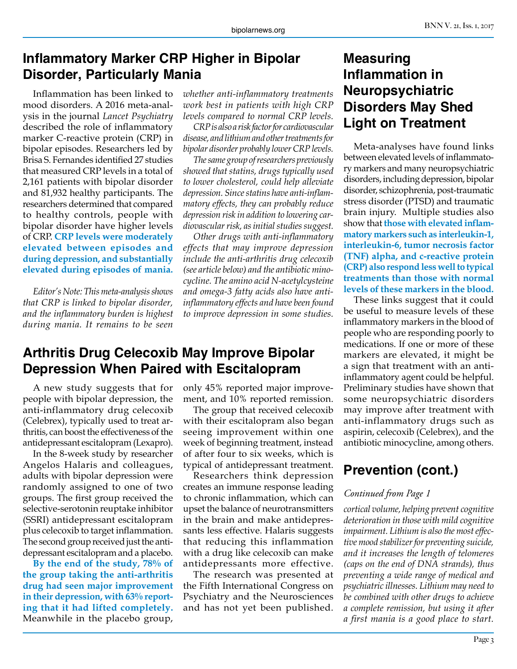#### **Inflammatory Marker CRP Higher in Bipolar Disorder, Particularly Mania**

Inflammation has been linked to mood disorders. A 2016 meta-analysis in the journal *Lancet Psychiatry* described the role of inflammatory marker C-reactive protein (CRP) in bipolar episodes. Researchers led by Brisa S. Fernandes identified 27 studies that measured CRP levels in a total of 2,161 patients with bipolar disorder and 81,932 healthy participants. The researchers determined that compared to healthy controls, people with bipolar disorder have higher levels of CRP. **CRP levels were moderately elevated between episodes and during depression, and substantially elevated during episodes of mania.**

*Editor's Note: This meta-analysis shows that CRP is linked to bipolar disorder, and the inflammatory burden is highest during mania. It remains to be seen* 

*whether anti-inflammatory treatments work best in patients with high CRP levels compared to normal CRP levels.*

*CRP is also a risk factor for cardiovascular disease, and lithium and other treatments for bipolar disorder probably lower CRP levels.*

*The same group of researchers previously showed that statins, drugs typically used to lower cholesterol, could help alleviate depression. Since statins have anti-inflammatory effects, they can probably reduce depression risk in addition to lowering cardiovascular risk, as initial studies suggest.*

*Other drugs with anti-inflammatory effects that may improve depression include the anti-arthritis drug celecoxib (see article below) and the antibiotic minocycline. The amino acid N-acetylcysteine and omega-3 fatty acids also have antiinflammatory effects and have been found to improve depression in some studies.* 

#### **Arthritis Drug Celecoxib May Improve Bipolar Depression When Paired with Escitalopram**

A new study suggests that for people with bipolar depression, the anti-inflammatory drug celecoxib (Celebrex), typically used to treat arthritis, can boost the effectiveness of the antidepressant escitalopram (Lexapro).

In the 8-week study by researcher Angelos Halaris and colleagues, adults with bipolar depression were randomly assigned to one of two groups. The first group received the selective-serotonin reuptake inhibitor (SSRI) antidepressant escitalopram plus celecoxib to target inflammation. The second group received just the antidepressant escitalopram and a placebo.

**By the end of the study, 78% of the group taking the anti-arthritis drug had seen major improvement in their depression, with 63% reporting that it had lifted completely.**  Meanwhile in the placebo group, only 45% reported major improvement, and 10% reported remission.

The group that received celecoxib with their escitalopram also began seeing improvement within one week of beginning treatment, instead of after four to six weeks, which is typical of antidepressant treatment.

Researchers think depression creates an immune response leading to chronic inflammation, which can upset the balance of neurotransmitters in the brain and make antidepressants less effective. Halaris suggests that reducing this inflammation with a drug like celecoxib can make antidepressants more effective.

The research was presented at the Fifth International Congress on Psychiatry and the Neurosciences and has not yet been published.

## **Measuring Inflammation in Neuropsychiatric Disorders May Shed Light on Treatment**

Meta-analyses have found links between elevated levels of inflammatory markers and many neuropsychiatric disorders, including depression, bipolar disorder, schizophrenia, post-traumatic stress disorder (PTSD) and traumatic brain injury. Multiple studies also show that **those with elevated inflammatory markers such as interleukin-1, interleukin-6, tumor necrosis factor (TNF) alpha, and c-reactive protein (CRP) also respond less well to typical treatments than those with normal levels of these markers in the blood.** 

These links suggest that it could be useful to measure levels of these inflammatory markers in the blood of people who are responding poorly to medications. If one or more of these markers are elevated, it might be a sign that treatment with an antiinflammatory agent could be helpful. Preliminary studies have shown that some neuropsychiatric disorders may improve after treatment with anti-inflammatory drugs such as aspirin, celecoxib (Celebrex), and the antibiotic minocycline, among others.

# **Prevention (cont.)**

#### *Continued from Page 1*

*cortical volume, helping prevent cognitive deterioration in those with mild cognitive impairment. Lithium is also the most effective mood stabilizer for preventing suicide, and it increases the length of telomeres (caps on the end of DNA strands), thus preventing a wide range of medical and psychiatric illnesses. Lithium may need to be combined with other drugs to achieve a complete remission, but using it after a first mania is a good place to start.*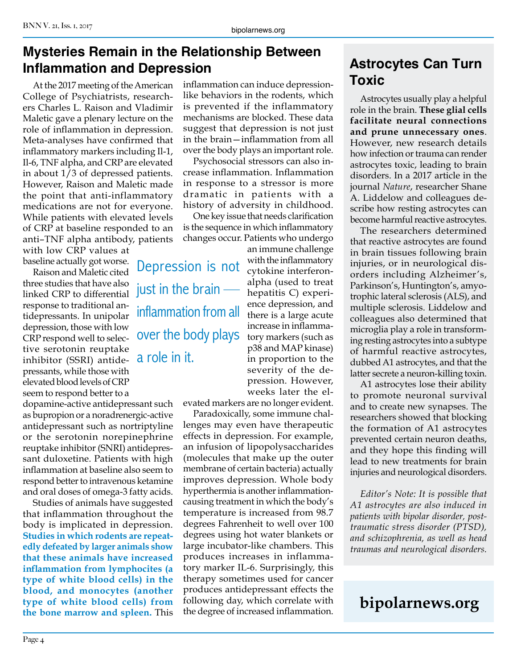# **Mysteries Remain in the Relationship Between Inflammation and Depression**

At the 2017 meeting of the American College of Psychiatrists, researchers Charles L. Raison and Vladimir Maletic gave a plenary lecture on the role of inflammation in depression. Meta-analyses have confirmed that inflammatory markers including Il-1, Il-6, TNF alpha, and CRP are elevated in about 1/3 of depressed patients. However, Raison and Maletic made the point that anti-inflammatory medications are not for everyone. While patients with elevated levels of CRP at baseline responded to an anti–TNF alpha antibody, patients

with low CRP values at baseline actually got worse.

Raison and Maletic cited three studies that have also linked CRP to differential response to traditional antidepressants. In unipolar depression, those with low CRP respond well to selective serotonin reuptake inhibitor (SSRI) antidepressants, while those with elevated blood levels of CRP seem to respond better to a

dopamine-active antidepressant such as bupropion or a noradrenergic-active antidepressant such as nortriptyline or the serotonin norepinephrine reuptake inhibitor (SNRI) antidepressant duloxetine. Patients with high inflammation at baseline also seem to respond better to intravenous ketamine and oral doses of omega-3 fatty acids.

Studies of animals have suggested that inflammation throughout the body is implicated in depression. **Studies in which rodents are repeatedly defeated by larger animals show that these animals have increased inflammation from lymphocites (a type of white blood cells) in the blood, and monocytes (another type of white blood cells) from the bone marrow and spleen.** This

inflammation can induce depressionlike behaviors in the rodents, which is prevented if the inflammatory mechanisms are blocked. These data suggest that depression is not just in the brain—inflammation from all over the body plays an important role.

Psychosocial stressors can also increase inflammation. Inflammation in response to a stressor is more dramatic in patients with a history of adversity in childhood.

One key issue that needs clarification is the sequence in which inflammatory changes occur. Patients who undergo

Depression is not just in the brain inflammation from all over the body plays a role in it.

an immune challenge with the inflammatory cytokine interferonalpha (used to treat hepatitis C) experience depression, and there is a large acute increase in inflammatory markers (such as p38 and MAP kinase) in proportion to the severity of the depression. However, weeks later the el-

evated markers are no longer evident.

Paradoxically, some immune challenges may even have therapeutic effects in depression. For example, an infusion of lipopolysaccharides (molecules that make up the outer membrane of certain bacteria) actually improves depression. Whole body hyperthermia is another inflammationcausing treatment in which the body's temperature is increased from 98.7 degrees Fahrenheit to well over 100 degrees using hot water blankets or large incubator-like chambers. This produces increases in inflammatory marker IL-6. Surprisingly, this therapy sometimes used for cancer produces antidepressant effects the following day, which correlate with the degree of increased inflammation.

# **Astrocytes Can Turn Toxic**

Astrocytes usually play a helpful role in the brain. **These glial cells facilitate neural connections and prune unnecessary ones**. However, new research details how infection or trauma can render astrocytes toxic, leading to brain disorders. In a 2017 article in the journal *Nature*, researcher Shane A. Liddelow and colleagues describe how resting astrocytes can become harmful reactive astrocytes.

The researchers determined that reactive astrocytes are found in brain tissues following brain injuries, or in neurological disorders including Alzheimer's, Parkinson's, Huntington's, amyotrophic lateral sclerosis (ALS), and multiple sclerosis. Liddelow and colleagues also determined that microglia play a role in transforming resting astrocytes into a subtype of harmful reactive astrocytes, dubbed A1 astrocytes, and that the latter secrete a neuron-killing toxin.

A1 astrocytes lose their ability to promote neuronal survival and to create new synapses. The researchers showed that blocking the formation of A1 astrocytes prevented certain neuron deaths, and they hope this finding will lead to new treatments for brain injuries and neurological disorders.

*Editor's Note: It is possible that A1 astrocytes are also induced in patients with bipolar disorder, posttraumatic stress disorder (PTSD), and schizophrenia, as well as head traumas and neurological disorders.*

# **bipolarnews.org**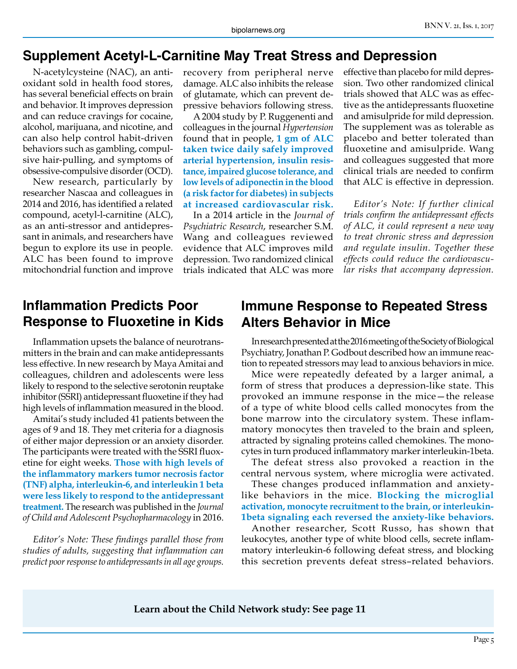#### **Supplement Acetyl-L-Carnitine May Treat Stress and Depression**

N-acetylcysteine (NAC), an antioxidant sold in health food stores, has several beneficial effects on brain and behavior. It improves depression and can reduce cravings for cocaine, alcohol, marijuana, and nicotine, and can also help control habit-driven behaviors such as gambling, compulsive hair-pulling, and symptoms of obsessive-compulsive disorder (OCD).

New research, particularly by researcher Nascaa and colleagues in 2014 and 2016, has identified a related compound, acetyl-l-carnitine (ALC), as an anti-stressor and antidepressant in animals, and researchers have begun to explore its use in people. ALC has been found to improve mitochondrial function and improve

recovery from peripheral nerve damage. ALC also inhibits the release of glutamate, which can prevent depressive behaviors following stress.

A 2004 study by P. Ruggenenti and colleagues in the journal *Hypertension* found that in people, **1 gm of ALC taken twice daily safely improved arterial hypertension, insulin resistance, impaired glucose tolerance, and low levels of adiponectin in the blood (a risk factor for diabetes) in subjects at increased cardiovascular risk.**

In a 2014 article in the *Journal of Psychiatric Research*, researcher S.M. Wang and colleagues reviewed evidence that ALC improves mild depression. Two randomized clinical trials indicated that ALC was more

effective than placebo for mild depression. Two other randomized clinical trials showed that ALC was as effective as the antidepressants fluoxetine and amisulpride for mild depression. The supplement was as tolerable as placebo and better tolerated than fluoxetine and amisulpride. Wang and colleagues suggested that more clinical trials are needed to confirm that ALC is effective in depression.

*Editor's Note: If further clinical trials confirm the antidepressant effects of ALC, it could represent a new way to treat chronic stress and depression and regulate insulin. Together these effects could reduce the cardiovascular risks that accompany depression.*

### **Inflammation Predicts Poor Response to Fluoxetine in Kids**

Inflammation upsets the balance of neurotransmitters in the brain and can make antidepressants less effective. In new research by Maya Amitai and colleagues, children and adolescents were less likely to respond to the selective serotonin reuptake inhibitor (SSRI) antidepressant fluoxetine if they had high levels of inflammation measured in the blood.

Amitai's study included 41 patients between the ages of 9 and 18. They met criteria for a diagnosis of either major depression or an anxiety disorder. The participants were treated with the SSRI fluoxetine for eight weeks. **Those with high levels of the inflammatory markers tumor necrosis factor (TNF) alpha, interleukin-6, and interleukin 1 beta were less likely to respond to the antidepressant treatment.** The research was published in the *Journal of Child and Adolescent Psychopharmacology* in 2016.

*Editor's Note: These findings parallel those from studies of adults, suggesting that inflammation can predict poor response to antidepressants in all age groups.*

#### **Immune Response to Repeated Stress Alters Behavior in Mice**

In research presented at the 2016 meeting of the Society of Biological Psychiatry, Jonathan P. Godbout described how an immune reaction to repeated stressors may lead to anxious behaviors in mice.

Mice were repeatedly defeated by a larger animal, a form of stress that produces a depression-like state. This provoked an immune response in the mice—the release of a type of white blood cells called monocytes from the bone marrow into the circulatory system. These inflammatory monocytes then traveled to the brain and spleen, attracted by signaling proteins called chemokines. The monocytes in turn produced inflammatory marker interleukin-1beta.

The defeat stress also provoked a reaction in the central nervous system, where microglia were activated.

These changes produced inflammation and anxietylike behaviors in the mice. **Blocking the microglial activation, monocyte recruitment to the brain, or interleukin-1beta signaling each reversed the anxiety-like behaviors.**

Another researcher, Scott Russo, has shown that leukocytes, another type of white blood cells, secrete inflammatory interleukin-6 following defeat stress, and blocking this secretion prevents defeat stress–related behaviors.

**Learn about the Child Network study: See page 11**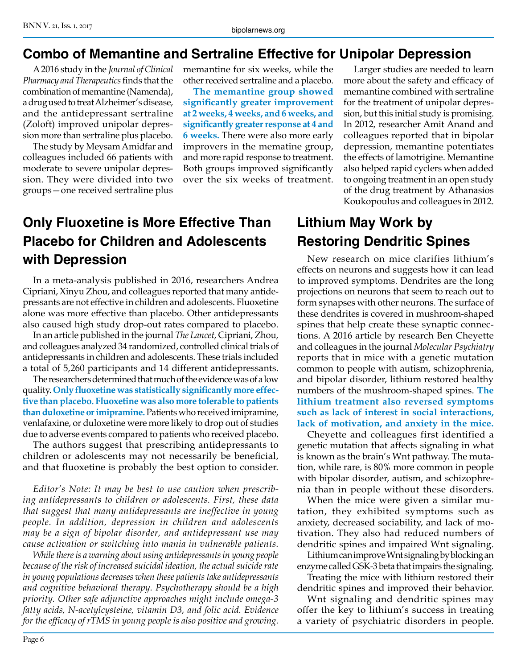#### **Combo of Memantine and Sertraline Effective for Unipolar Depression**

A 2016 study in the *Journal of Clinical Pharmacy and Therapeutics* finds that the combination of memantine (Namenda), a drug used to treat Alzheimer's disease, and the antidepressant sertraline (Zoloft) improved unipolar depression more than sertraline plus placebo.

The study by Meysam Amidfar and colleagues included 66 patients with moderate to severe unipolar depression. They were divided into two groups—one received sertraline plus

memantine for six weeks, while the other received sertraline and a placebo.

**The memantine group showed significantly greater improvement at 2 weeks, 4 weeks, and 6 weeks, and significantly greater response at 4 and 6 weeks.** There were also more early improvers in the mematine group, and more rapid response to treatment. Both groups improved significantly over the six weeks of treatment.

# **Only Fluoxetine is More Effective Than Placebo for Children and Adolescents with Depression**

In a meta-analysis published in 2016, researchers Andrea Cipriani, Xinyu Zhou, and colleagues reported that many antidepressants are not effective in children and adolescents. Fluoxetine alone was more effective than placebo. Other antidepressants also caused high study drop-out rates compared to placebo.

In an article published in the journal *The Lancet*, Cipriani, Zhou, and colleagues analyzed 34 randomized, controlled clinical trials of antidepressants in children and adolescents. These trials included a total of 5,260 participants and 14 different antidepressants.

The researchers determined that much of the evidence was of a low quality. **Only fluoxetine was statistically significantly more effective than placebo. Fluoxetine was also more tolerable to patients than duloxetine or imipramine.** Patients who received imipramine, venlafaxine, or duloxetine were more likely to drop out of studies due to adverse events compared to patients who received placebo.

The authors suggest that prescribing antidepressants to children or adolescents may not necessarily be beneficial, and that fluoxetine is probably the best option to consider.

*Editor's Note: It may be best to use caution when prescribing antidepressants to children or adolescents. First, these data that suggest that many antidepressants are ineffective in young people. In addition, depression in children and adolescents may be a sign of bipolar disorder, and antidepressant use may cause activation or switching into mania in vulnerable patients.*

*While there is a warning about using antidepressants in young people because of the risk of increased suicidal ideation, the actual suicide rate in young populations decreases when these patients take antidepressants and cognitive behavioral therapy. Psychotherapy should be a high priority. Other safe adjunctive approaches might include omega-3 fatty acids, N-acetylcysteine, vitamin D3, and folic acid. Evidence for the efficacy of rTMS in young people is also positive and growing.* 

Larger studies are needed to learn more about the safety and efficacy of memantine combined with sertraline for the treatment of unipolar depression, but this initial study is promising. In 2012, researcher Amit Anand and colleagues reported that in bipolar depression, memantine potentiates the effects of lamotrigine. Memantine also helped rapid cyclers when added to ongoing treatment in an open study of the drug treatment by Athanasios Koukopoulus and colleagues in 2012.

# **Lithium May Work by Restoring Dendritic Spines**

New research on mice clarifies lithium's effects on neurons and suggests how it can lead to improved symptoms. Dendrites are the long projections on neurons that seem to reach out to form synapses with other neurons. The surface of these dendrites is covered in mushroom-shaped spines that help create these synaptic connections. A 2016 article by research Ben Cheyette and colleagues in the journal *Molecular Psychiatry* reports that in mice with a genetic mutation common to people with autism, schizophrenia, and bipolar disorder, lithium restored healthy numbers of the mushroom-shaped spines. **The lithium treatment also reversed symptoms such as lack of interest in social interactions, lack of motivation, and anxiety in the mice.**

Cheyette and colleagues first identified a genetic mutation that affects signaling in what is known as the brain's Wnt pathway. The mutation, while rare, is 80% more common in people with bipolar disorder, autism, and schizophrenia than in people without these disorders.

When the mice were given a similar mutation, they exhibited symptoms such as anxiety, decreased sociability, and lack of motivation. They also had reduced numbers of dendritic spines and impaired Wnt signaling.

Lithium can improve Wnt signaling by blocking an enzyme called GSK-3 beta that impairs the signaling.

Treating the mice with lithium restored their dendritic spines and improved their behavior.

Wnt signaling and dendritic spines may offer the key to lithium's success in treating a variety of psychiatric disorders in people.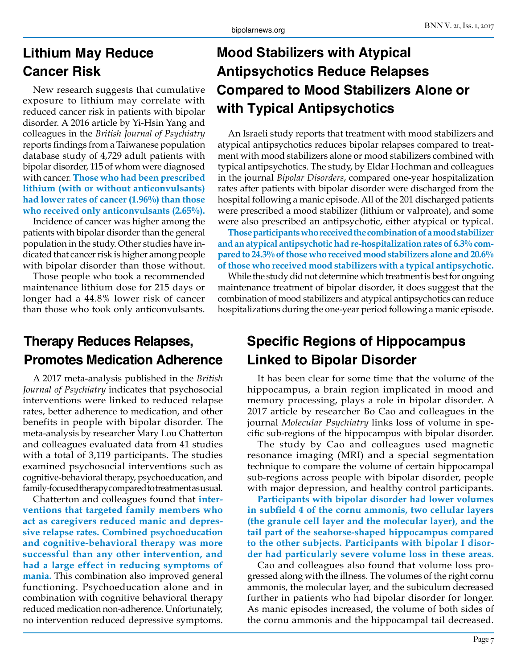# **Lithium May Reduce Cancer Risk**

New research suggests that cumulative exposure to lithium may correlate with reduced cancer risk in patients with bipolar disorder. A 2016 article by Yi-Hsin Yang and colleagues in the *British Journal of Psychiatry* reports findings from a Taiwanese population database study of 4,729 adult patients with bipolar disorder, 115 of whom were diagnosed with cancer. **Those who had been prescribed lithium (with or without anticonvulsants) had lower rates of cancer (1.96%) than those who received only anticonvulsants (2.65%).**

Incidence of cancer was higher among the patients with bipolar disorder than the general population in the study. Other studies have indicated that cancer risk is higher among people with bipolar disorder than those without.

Those people who took a recommended maintenance lithium dose for 215 days or longer had a 44.8% lower risk of cancer than those who took only anticonvulsants.

# **Therapy Reduces Relapses, Promotes Medication Adherence**

A 2017 meta-analysis published in the *British Journal of Psychiatry* indicates that psychosocial interventions were linked to reduced relapse rates, better adherence to medication, and other benefits in people with bipolar disorder. The meta-analysis by researcher Mary Lou Chatterton and colleagues evaluated data from 41 studies with a total of 3,119 participants. The studies examined psychosocial interventions such as cognitive-behavioral therapy, psychoeducation, and family-focused therapy compared to treatment as usual.

Chatterton and colleagues found that **interventions that targeted family members who act as caregivers reduced manic and depressive relapse rates. Combined psychoeducation and cognitive-behavioral therapy was more successful than any other intervention, and had a large effect in reducing symptoms of mania.** This combination also improved general functioning. Psychoeducation alone and in combination with cognitive behavioral therapy reduced medication non-adherence. Unfortunately, no intervention reduced depressive symptoms.

# **Mood Stabilizers with Atypical Antipsychotics Reduce Relapses Compared to Mood Stabilizers Alone or with Typical Antipsychotics**

An Israeli study reports that treatment with mood stabilizers and atypical antipsychotics reduces bipolar relapses compared to treatment with mood stabilizers alone or mood stabilizers combined with typical antipsychotics. The study, by Eldar Hochman and colleagues in the journal *Bipolar Disorders*, compared one-year hospitalization rates after patients with bipolar disorder were discharged from the hospital following a manic episode. All of the 201 discharged patients were prescribed a mood stabilizer (lithium or valproate), and some were also prescribed an antipsychotic, either atypical or typical.

**Those participants who received the combination of a mood stabilizer and an atypical antipsychotic had re-hospitalization rates of 6.3% compared to 24.3% of those who received mood stabilizers alone and 20.6% of those who received mood stabilizers with a typical antipsychotic.**

While the study did not determine which treatment is best for ongoing maintenance treatment of bipolar disorder, it does suggest that the combination of mood stabilizers and atypical antipsychotics can reduce hospitalizations during the one-year period following a manic episode.

# **Specific Regions of Hippocampus Linked to Bipolar Disorder**

It has been clear for some time that the volume of the hippocampus, a brain region implicated in mood and memory processing, plays a role in bipolar disorder. A 2017 article by researcher Bo Cao and colleagues in the journal *Molecular Psychiatry* links loss of volume in specific sub-regions of the hippocampus with bipolar disorder.

The study by Cao and colleagues used magnetic resonance imaging (MRI) and a special segmentation technique to compare the volume of certain hippocampal sub-regions across people with bipolar disorder, people with major depression, and healthy control participants.

**Participants with bipolar disorder had lower volumes in subfield 4 of the cornu ammonis, two cellular layers (the granule cell layer and the molecular layer), and the tail part of the seahorse-shaped hippocampus compared to the other subjects. Participants with bipolar I disorder had particularly severe volume loss in these areas.**

Cao and colleagues also found that volume loss progressed along with the illness. The volumes of the right cornu ammonis, the molecular layer, and the subiculum decreased further in patients who had bipolar disorder for longer. As manic episodes increased, the volume of both sides of the cornu ammonis and the hippocampal tail decreased.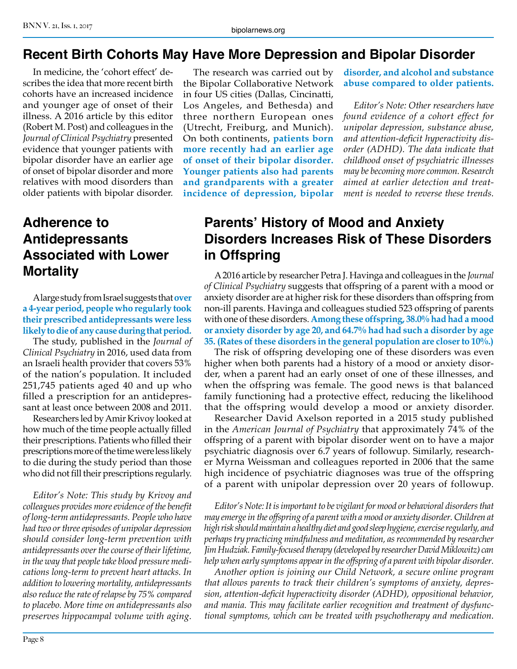#### BNN V. 21, Iss. 1, 2017

#### **Recent Birth Cohorts May Have More Depression and Bipolar Disorder**

In medicine, the 'cohort effect' describes the idea that more recent birth cohorts have an increased incidence and younger age of onset of their illness. A 2016 article by this editor (Robert M. Post) and colleagues in the *Journal of Clinical Psychiatry* presented evidence that younger patients with bipolar disorder have an earlier age of onset of bipolar disorder and more relatives with mood disorders than older patients with bipolar disorder.

## **Adherence to Antidepressants Associated with Lower Mortality**

A large study from Israel suggests that **over a 4-year period, people who regularly took their prescribed antidepressants were less likely to die of any cause during that period.**

The study, published in the *Journal of Clinical Psychiatry* in 2016, used data from an Israeli health provider that covers 53% of the nation's population. It included 251,745 patients aged 40 and up who filled a prescription for an antidepressant at least once between 2008 and 2011.

Researchers led by Amir Krivoy looked at how much of the time people actually filled their prescriptions. Patients who filled their prescriptions more of the time were less likely to die during the study period than those who did not fill their prescriptions regularly.

*Editor's Note: This study by Krivoy and colleagues provides more evidence of the benefit of long-term antidepressants. People who have had two or three episodes of unipolar depression should consider long-term prevention with antidepressants over the course of their lifetime, in the way that people take blood pressure medications long-term to prevent heart attacks. In addition to lowering mortality, antidepressants also reduce the rate of relapse by 75% compared to placebo. More time on antidepressants also preserves hippocampal volume with aging.*

The research was carried out by the Bipolar Collaborative Network in four US cities (Dallas, Cincinatti, Los Angeles, and Bethesda) and three northern European ones (Utrecht, Freiburg, and Munich). On both continents, **patients born more recently had an earlier age of onset of their bipolar disorder. Younger patients also had parents and grandparents with a greater incidence of depression, bipolar** 

**disorder, and alcohol and substance abuse compared to older patients.**

*Editor's Note: Other researchers have found evidence of a cohort effect for unipolar depression, substance abuse, and attention-deficit hyperactivity disorder (ADHD). The data indicate that childhood onset of psychiatric illnesses may be becoming more common. Research aimed at earlier detection and treatment is needed to reverse these trends.*

#### **Parents' History of Mood and Anxiety Disorders Increases Risk of These Disorders in Offspring**

A 2016 article by researcher Petra J. Havinga and colleagues in the *Journal of Clinical Psychiatry* suggests that offspring of a parent with a mood or anxiety disorder are at higher risk for these disorders than offspring from non-ill parents. Havinga and colleagues studied 523 offspring of parents with one of these disorders. **Among these offspring, 38.0% had had a mood or anxiety disorder by age 20, and 64.7% had had such a disorder by age 35. (Rates of these disorders in the general population are closer to 10%.)**

The risk of offspring developing one of these disorders was even higher when both parents had a history of a mood or anxiety disorder, when a parent had an early onset of one of these illnesses, and when the offspring was female. The good news is that balanced family functioning had a protective effect, reducing the likelihood that the offspring would develop a mood or anxiety disorder.

Researcher David Axelson reported in a 2015 study published in the *American Journal of Psychiatry* that approximately 74% of the offspring of a parent with bipolar disorder went on to have a major psychiatric diagnosis over 6.7 years of followup. Similarly, researcher Myrna Weissman and colleagues reported in 2006 that the same high incidence of psychiatric diagnoses was true of the offspring of a parent with unipolar depression over 20 years of followup.

*Editor's Note: It is important to be vigilant for mood or behavioral disorders that may emerge in the offspring of a parent with a mood or anxiety disorder. Children at high risk should maintain a healthy diet and good sleep hygiene, exercise regularly, and perhaps try practicing mindfulness and meditation, as recommended by researcher Jim Hudziak. Family-focused therapy (developed by researcher David Miklowitz) can help when early symptoms appear in the offspring of a parent with bipolar disorder.* 

*Another option is joining our Child Network, a secure online program that allows parents to track their children's symptoms of anxiety, depression, attention-deficit hyperactivity disorder (ADHD), oppositional behavior, and mania. This may facilitate earlier recognition and treatment of dysfunctional symptoms, which can be treated with psychotherapy and medication.*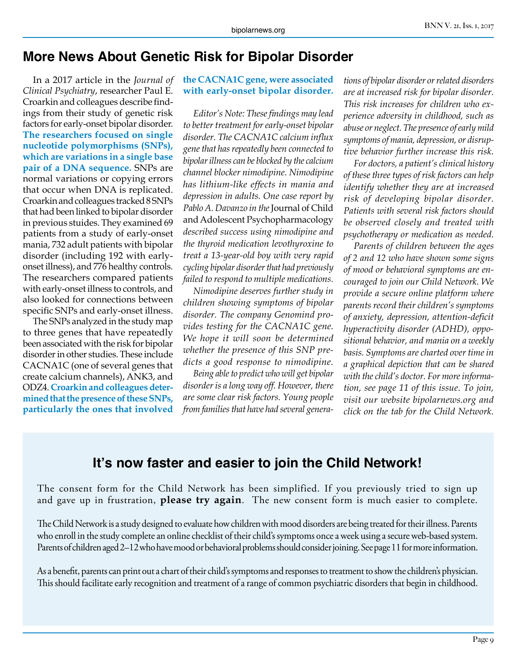#### **More News About Genetic Risk for Bipolar Disorder**

In a 2017 article in the *Journal of Clinical Psychiatry*, researcher Paul E. Croarkin and colleagues describe findings from their study of genetic risk factors for early-onset bipolar disorder. **The researchers focused on single nucleotide polymorphisms (SNPs), which are variations in a single base pair of a DNA sequence.** SNPs are normal variations or copying errors that occur when DNA is replicated. Croarkin and colleagues tracked 8 SNPs that had been linked to bipolar disorder in previous stuides. They examined 69 patients from a study of early-onset mania, 732 adult patients with bipolar disorder (including 192 with earlyonset illness), and 776 healthy controls. The researchers compared patients with early-onset illness to controls, and also looked for connections between specific SNPs and early-onset illness.

The SNPs analyzed in the study map to three genes that have repeatedly been associated with the risk for bipolar disorder in other studies. These include CACNA1C (one of several genes that create calcium channels), ANK3, and ODZ4. **Croarkin and colleagues determined that the presence of these SNPs, particularly the ones that involved** 

#### **the CACNA1C gene, were associated with early-onset bipolar disorder.**

*Editor's Note: These findings may lead to better treatment for early-onset bipolar disorder. The CACNA1C calcium influx gene that has repeatedly been connected to bipolar illness can be blocked by the calcium channel blocker nimodipine. Nimodipine has lithium-like effects in mania and depression in adults. One case report by Pablo A. Davanzo in the* Journal of Child and Adolescent Psychopharmacology *described success using nimodipine and the thyroid medication levothyroxine to treat a 13-year-old boy with very rapid cycling bipolar disorder that had previously failed to respond to multiple medications.*

*Nimodipine deserves further study in children showing symptoms of bipolar disorder. The company Genomind provides testing for the CACNA1C gene. We hope it will soon be determined whether the presence of this SNP predicts a good response to nimodipine.*

*Being able to predict who will get bipolar disorder is a long way off. However, there are some clear risk factors. Young people from families that have had several genera-* *tions of bipolar disorder or related disorders are at increased risk for bipolar disorder. This risk increases for children who experience adversity in childhood, such as abuse or neglect. The presence of early mild symptoms of mania, depression, or disruptive behavior further increase this risk.*

*For doctors, a patient's clinical history of these three types of risk factors can help identify whether they are at increased risk of developing bipolar disorder. Patients with several risk factors should be observed closely and treated with psychotherapy or medication as needed.*

*Parents of children between the ages of 2 and 12 who have shown some signs of mood or behavioral symptoms are encouraged to join our Child Network. We provide a secure online platform where parents record their children's symptoms of anxiety, depression, attention-deficit hyperactivity disorder (ADHD), oppositional behavior, and mania on a weekly basis. Symptoms are charted over time in a graphical depiction that can be shared with the child's doctor. For more information, see page 11 of this issue. To join, visit our website bipolarnews.org and click on the tab for the Child Network.*

#### **It's now faster and easier to join the Child Network!**

The consent form for the Child Network has been simplified. If you previously tried to sign up and gave up in frustration, **please try again**. The new consent form is much easier to complete.

The Child Network is a study designed to evaluate how children with mood disorders are being treated for their illness. Parents who enroll in the study complete an online checklist of their child's symptoms once a week using a secure web-based system. Parents of children aged 2–12 who have mood or behavioral problems should consider joining. See page 11 for more information.

As a benefit, parents can print out a chart of their child's symptoms and responses to treatment to show the children's physician. This should facilitate early recognition and treatment of a range of common psychiatric disorders that begin in childhood.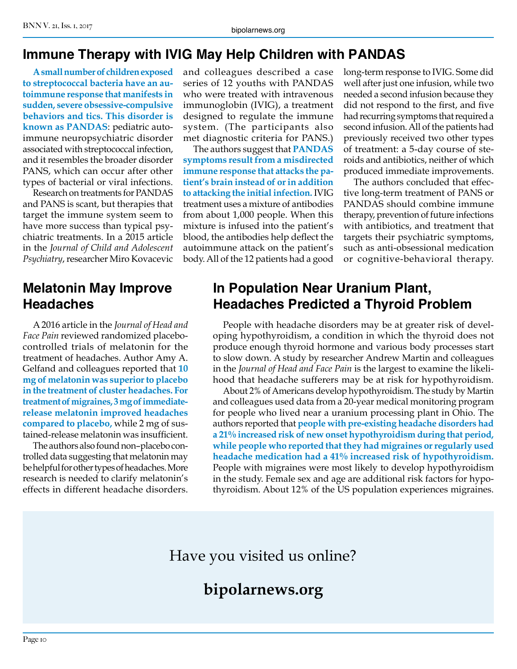#### **Immune Therapy with IVIG May Help Children with PANDAS**

**A small number of children exposed to streptococcal bacteria have an autoimmune response that manifests in sudden, severe obsessive-compulsive behaviors and tics. This disorder is known as PANDAS**: pediatric autoimmune neuropsychiatric disorder associated with streptococcal infection, and it resembles the broader disorder PANS, which can occur after other types of bacterial or viral infections.

Research on treatments for PANDAS and PANS is scant, but therapies that target the immune system seem to have more success than typical psychiatric treatments. In a 2015 article in the *Journal of Child and Adolescent Psychiatry*, researcher Miro Kovacevic

### **Melatonin May Improve Headaches**

A 2016 article in the *Journal of Head and Face Pain* reviewed randomized placebocontrolled trials of melatonin for the treatment of headaches. Author Amy A. Gelfand and colleagues reported that **10 mg of melatonin was superior to placebo in the treatment of cluster headaches. For treatment of migraines, 3 mg of immediaterelease melatonin improved headaches compared to placebo,** while 2 mg of sustained-release melatonin was insufficient.

The authors also found non–placebo controlled data suggesting that melatonin may be helpful for other types of headaches. More research is needed to clarify melatonin's effects in different headache disorders.

and colleagues described a case series of 12 youths with PANDAS who were treated with intravenous immunoglobin (IVIG), a treatment designed to regulate the immune system. (The participants also met diagnostic criteria for PANS.)

The authors suggest that **PANDAS symptoms result from a misdirected immune response that attacks the patient's brain instead of or in addition to attacking the initial infection.** IVIG treatment uses a mixture of antibodies from about 1,000 people. When this mixture is infused into the patient's blood, the antibodies help deflect the autoimmune attack on the patient's body. All of the 12 patients had a good long-term response to IVIG. Some did well after just one infusion, while two needed a second infusion because they did not respond to the first, and five had recurring symptoms that required a second infusion. All of the patients had previously received two other types of treatment: a 5-day course of steroids and antibiotics, neither of which produced immediate improvements.

The authors concluded that effective long-term treatment of PANS or PANDAS should combine immune therapy, prevention of future infections with antibiotics, and treatment that targets their psychiatric symptoms, such as anti-obsessional medication or cognitive-behavioral therapy.

# **In Population Near Uranium Plant, Headaches Predicted a Thyroid Problem**

People with headache disorders may be at greater risk of developing hypothyroidism, a condition in which the thyroid does not produce enough thyroid hormone and various body processes start to slow down. A study by researcher Andrew Martin and colleagues in the *Journal of Head and Face Pain* is the largest to examine the likelihood that headache sufferers may be at risk for hypothyroidism.

About 2% of Americans develop hypothyroidism. The study by Martin and colleagues used data from a 20-year medical monitoring program for people who lived near a uranium processing plant in Ohio. The authors reported that **people with pre-existing headache disorders had a 21% increased risk of new onset hypothyroidism during that period, while people who reported that they had migraines or regularly used headache medication had a 41% increased risk of hypothyroidism.**  People with migraines were most likely to develop hypothyroidism in the study. Female sex and age are additional risk factors for hypothyroidism. About 12% of the US population experiences migraines.

# Have you visited us online?

# **bipolarnews.org**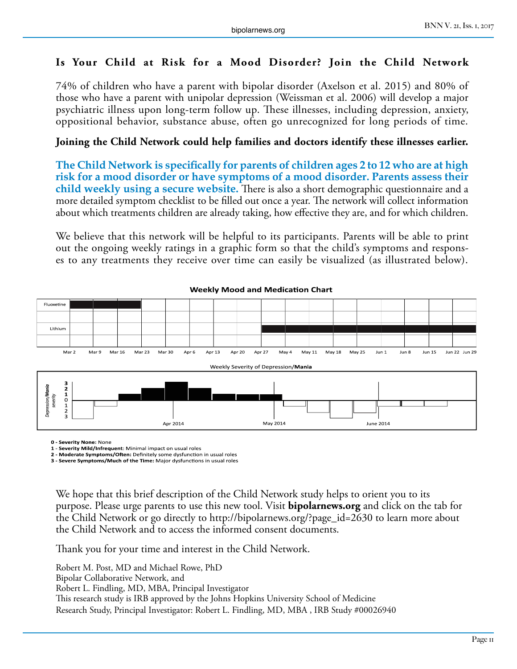#### **Is Your Child at Risk for a Mood Disorder? Join the Child Network**

74% of children who have a parent with bipolar disorder (Axelson et al. 2015) and 80% of those who have a parent with unipolar depression (Weissman et al. 2006) will develop a major psychiatric illness upon long-term follow up. These illnesses, including depression, anxiety, oppositional behavior, substance abuse, often go unrecognized for long periods of time.

#### **Joining the Child Network could help families and doctors identify these illnesses earlier.**

**The Child Network is specifically for parents of children ages 2 to 12 who are at high risk for a mood disorder or have symptoms of a mood disorder. Parents assess their child weekly using a secure website.** There is also a short demographic questionnaire and a more detailed symptom checklist to be filled out once a year. The network will collect information about which treatments children are already taking, how effective they are, and for which children.

We believe that this network will be helpful to its participants. Parents will be able to print out the ongoing weekly ratings in a graphic form so that the child's symptoms and responses to any treatments they receive over time can easily be visualized (as illustrated below).



#### **Weekly Mood and Medication Chart**

**0 - Severity None:** None

**1 - Severity Mild/Infrequent**: Minimal impact on usual roles

**2 - Moderate Symptoms/Often:** Definitely some dysfunction in usual roles **3 - Severe Symptoms/Much of the Time:** Major dysfunctions in usual roles

We hope that this brief description of the Child Network study helps to orient you to its purpose. Please urge parents to use this new tool. Visit **bipolarnews.org** and click on the tab for the Child Network or go directly to http://bipolarnews.org/?page\_id=2630 to learn more about the Child Network and to access the informed consent documents.

Thank you for your time and interest in the Child Network.

Robert M. Post, MD and Michael Rowe, PhD Bipolar Collaborative Network, and Robert L. Findling, MD, MBA, Principal Investigator This research study is IRB approved by the Johns Hopkins University School of Medicine Research Study, Principal Investigator: Robert L. Findling, MD, MBA , IRB Study #00026940